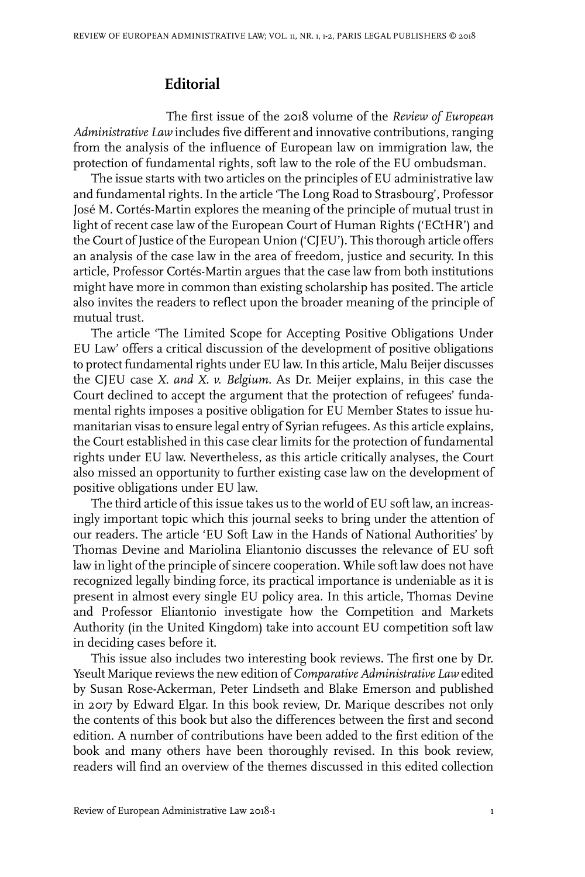## **Editorial**

The first issue of the 2018 volume of the *Review of European Administrative Law* includes five different and innovative contributions, ranging from the analysis of the influence of European law on immigration law, the protection of fundamental rights, soft law to the role of the EU ombudsman.

The issue starts with two articles on the principles of EU administrative law and fundamental rights. In the article 'The Long Road to Strasbourg', Professor José M. Cortés-Martin explores the meaning of the principle of mutual trust in light of recent case law of the European Court of Human Rights ('ECtHR') and the Court of Justice of the European Union ('CJEU'). This thorough article offers an analysis of the case law in the area of freedom, justice and security. In this article, Professor Cortés-Martin argues that the case law from both institutions might have more in common than existing scholarship has posited. The article also invites the readers to reflect upon the broader meaning of the principle of mutual trust.

The article 'The Limited Scope for Accepting Positive Obligations Under EU Law' offers a critical discussion of the development of positive obligations to protect fundamental rights under EU law. In this article, Malu Beijer discusses the CJEU case *X. and X. v. Belgium*. As Dr. Meijer explains, in this case the Court declined to accept the argument that the protection of refugees' fundamental rights imposes a positive obligation for EU Member States to issue humanitarian visas to ensure legal entry of Syrian refugees. As this article explains, the Court established in this case clear limits for the protection of fundamental rights under EU law. Nevertheless, as this article critically analyses, the Court also missed an opportunity to further existing case law on the development of positive obligations under EU law.

The third article of this issue takes us to the world of EU soft law, an increasingly important topic which this journal seeks to bring under the attention of our readers. The article 'EU Soft Law in the Hands of National Authorities' by Thomas Devine and Mariolina Eliantonio discusses the relevance of EU soft law in light of the principle of sincere cooperation. While soft law does not have recognized legally binding force, its practical importance is undeniable as it is present in almost every single EU policy area. In this article, Thomas Devine and Professor Eliantonio investigate how the Competition and Markets Authority (in the United Kingdom) take into account EU competition soft law in deciding cases before it.

This issue also includes two interesting book reviews. The first one by Dr. Yseult Marique reviews the new edition of *Comparative Administrative Law* edited by Susan Rose-Ackerman, Peter Lindseth and Blake Emerson and published in 2017 by Edward Elgar. In this book review, Dr. Marique describes not only the contents of this book but also the differences between the first and second edition. A number of contributions have been added to the first edition of the book and many others have been thoroughly revised. In this book review, readers will find an overview of the themes discussed in this edited collection